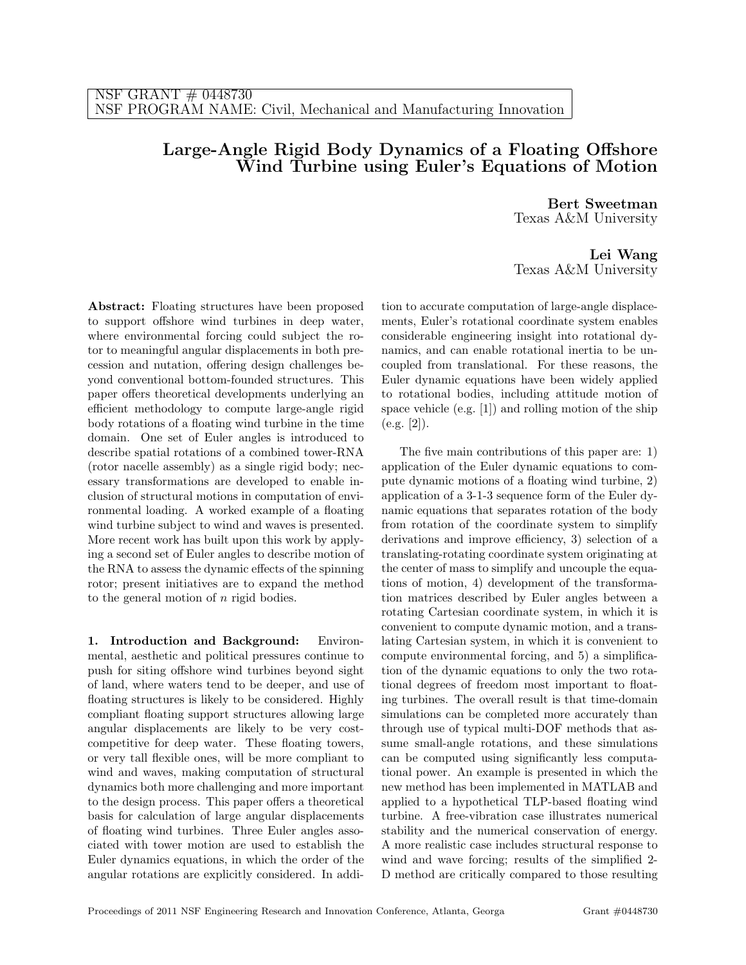## Large-Angle Rigid Body Dynamics of a Floating Offshore Wind Turbine using Euler's Equations of Motion

Bert Sweetman Texas A&M University

Lei Wang Texas A&M University

Abstract: Floating structures have been proposed to support offshore wind turbines in deep water, where environmental forcing could subject the rotor to meaningful angular displacements in both precession and nutation, offering design challenges beyond conventional bottom-founded structures. This paper offers theoretical developments underlying an efficient methodology to compute large-angle rigid body rotations of a floating wind turbine in the time domain. One set of Euler angles is introduced to describe spatial rotations of a combined tower-RNA (rotor nacelle assembly) as a single rigid body; necessary transformations are developed to enable inclusion of structural motions in computation of environmental loading. A worked example of a floating wind turbine subject to wind and waves is presented. More recent work has built upon this work by applying a second set of Euler angles to describe motion of the RNA to assess the dynamic effects of the spinning rotor; present initiatives are to expand the method to the general motion of n rigid bodies.

1. Introduction and Background: Environmental, aesthetic and political pressures continue to push for siting offshore wind turbines beyond sight of land, where waters tend to be deeper, and use of floating structures is likely to be considered. Highly compliant floating support structures allowing large angular displacements are likely to be very costcompetitive for deep water. These floating towers, or very tall flexible ones, will be more compliant to wind and waves, making computation of structural dynamics both more challenging and more important to the design process. This paper offers a theoretical basis for calculation of large angular displacements of floating wind turbines. Three Euler angles associated with tower motion are used to establish the Euler dynamics equations, in which the order of the angular rotations are explicitly considered. In addition to accurate computation of large-angle displacements, Euler's rotational coordinate system enables considerable engineering insight into rotational dynamics, and can enable rotational inertia to be uncoupled from translational. For these reasons, the Euler dynamic equations have been widely applied to rotational bodies, including attitude motion of space vehicle (e.g. [1]) and rolling motion of the ship  $(e.g. [2]).$ 

The five main contributions of this paper are: 1) application of the Euler dynamic equations to compute dynamic motions of a floating wind turbine, 2) application of a 3-1-3 sequence form of the Euler dynamic equations that separates rotation of the body from rotation of the coordinate system to simplify derivations and improve efficiency, 3) selection of a translating-rotating coordinate system originating at the center of mass to simplify and uncouple the equations of motion, 4) development of the transformation matrices described by Euler angles between a rotating Cartesian coordinate system, in which it is convenient to compute dynamic motion, and a translating Cartesian system, in which it is convenient to compute environmental forcing, and 5) a simplification of the dynamic equations to only the two rotational degrees of freedom most important to floating turbines. The overall result is that time-domain simulations can be completed more accurately than through use of typical multi-DOF methods that assume small-angle rotations, and these simulations can be computed using significantly less computational power. An example is presented in which the new method has been implemented in MATLAB and applied to a hypothetical TLP-based floating wind turbine. A free-vibration case illustrates numerical stability and the numerical conservation of energy. A more realistic case includes structural response to wind and wave forcing; results of the simplified 2- D method are critically compared to those resulting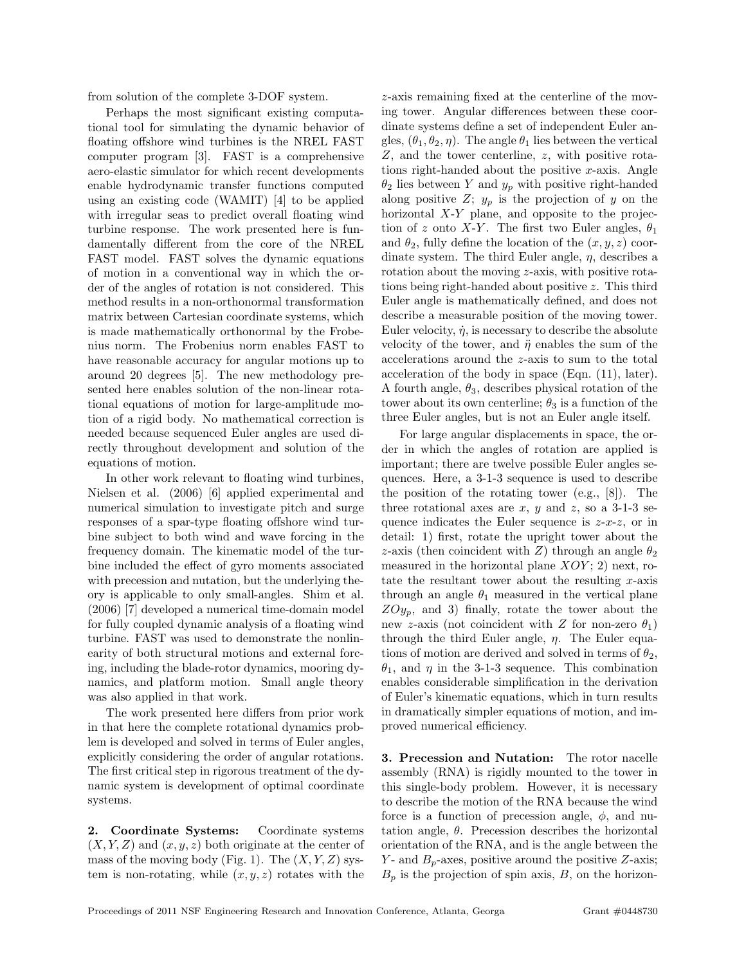from solution of the complete 3-DOF system.

Perhaps the most significant existing computational tool for simulating the dynamic behavior of floating offshore wind turbines is the NREL FAST computer program [3]. FAST is a comprehensive aero-elastic simulator for which recent developments enable hydrodynamic transfer functions computed using an existing code (WAMIT) [4] to be applied with irregular seas to predict overall floating wind turbine response. The work presented here is fundamentally different from the core of the NREL FAST model. FAST solves the dynamic equations of motion in a conventional way in which the order of the angles of rotation is not considered. This method results in a non-orthonormal transformation matrix between Cartesian coordinate systems, which is made mathematically orthonormal by the Frobenius norm. The Frobenius norm enables FAST to have reasonable accuracy for angular motions up to around 20 degrees [5]. The new methodology presented here enables solution of the non-linear rotational equations of motion for large-amplitude motion of a rigid body. No mathematical correction is needed because sequenced Euler angles are used directly throughout development and solution of the equations of motion.

In other work relevant to floating wind turbines, Nielsen et al. (2006) [6] applied experimental and numerical simulation to investigate pitch and surge responses of a spar-type floating offshore wind turbine subject to both wind and wave forcing in the frequency domain. The kinematic model of the turbine included the effect of gyro moments associated with precession and nutation, but the underlying theory is applicable to only small-angles. Shim et al. (2006) [7] developed a numerical time-domain model for fully coupled dynamic analysis of a floating wind turbine. FAST was used to demonstrate the nonlinearity of both structural motions and external forcing, including the blade-rotor dynamics, mooring dynamics, and platform motion. Small angle theory was also applied in that work.

The work presented here differs from prior work in that here the complete rotational dynamics problem is developed and solved in terms of Euler angles, explicitly considering the order of angular rotations. The first critical step in rigorous treatment of the dynamic system is development of optimal coordinate systems.

2. Coordinate Systems: Coordinate systems  $(X, Y, Z)$  and  $(x, y, z)$  both originate at the center of mass of the moving body (Fig. 1). The  $(X, Y, Z)$  system is non-rotating, while  $(x, y, z)$  rotates with the

z-axis remaining fixed at the centerline of the moving tower. Angular differences between these coordinate systems define a set of independent Euler angles,  $(\theta_1, \theta_2, \eta)$ . The angle  $\theta_1$  lies between the vertical Z, and the tower centerline, z, with positive rotations right-handed about the positive x-axis. Angle  $\theta_2$  lies between Y and  $y_p$  with positive right-handed along positive  $Z$ ;  $y_p$  is the projection of y on the horizontal  $X-Y$  plane, and opposite to the projection of z onto X-Y. The first two Euler angles,  $\theta_1$ and  $\theta_2$ , fully define the location of the  $(x, y, z)$  coordinate system. The third Euler angle,  $\eta$ , describes a rotation about the moving z-axis, with positive rotations being right-handed about positive z. This third Euler angle is mathematically defined, and does not describe a measurable position of the moving tower. Euler velocity,  $\dot{\eta}$ , is necessary to describe the absolute velocity of the tower, and  $\ddot{\eta}$  enables the sum of the accelerations around the z-axis to sum to the total acceleration of the body in space (Eqn. (11), later). A fourth angle,  $\theta_3$ , describes physical rotation of the tower about its own centerline;  $\theta_3$  is a function of the three Euler angles, but is not an Euler angle itself.

For large angular displacements in space, the order in which the angles of rotation are applied is important; there are twelve possible Euler angles sequences. Here, a 3-1-3 sequence is used to describe the position of the rotating tower (e.g., [8]). The three rotational axes are  $x, y$  and  $z$ , so a 3-1-3 sequence indicates the Euler sequence is  $z-x-z$ , or in detail: 1) first, rotate the upright tower about the z-axis (then coincident with Z) through an angle  $\theta_2$ measured in the horizontal plane  $XOY$ ; 2) next, rotate the resultant tower about the resulting  $x$ -axis through an angle  $\theta_1$  measured in the vertical plane  $ZOy_p$ , and 3) finally, rotate the tower about the new z-axis (not coincident with Z for non-zero  $\theta_1$ ) through the third Euler angle,  $\eta$ . The Euler equations of motion are derived and solved in terms of  $\theta_2$ ,  $\theta_1$ , and  $\eta$  in the 3-1-3 sequence. This combination enables considerable simplification in the derivation of Euler's kinematic equations, which in turn results in dramatically simpler equations of motion, and improved numerical efficiency.

3. Precession and Nutation: The rotor nacelle assembly (RNA) is rigidly mounted to the tower in this single-body problem. However, it is necessary to describe the motion of the RNA because the wind force is a function of precession angle,  $\phi$ , and nutation angle,  $\theta$ . Precession describes the horizontal orientation of the RNA, and is the angle between the Y- and  $B_p$ -axes, positive around the positive Z-axis;  $B_p$  is the projection of spin axis,  $B$ , on the horizon-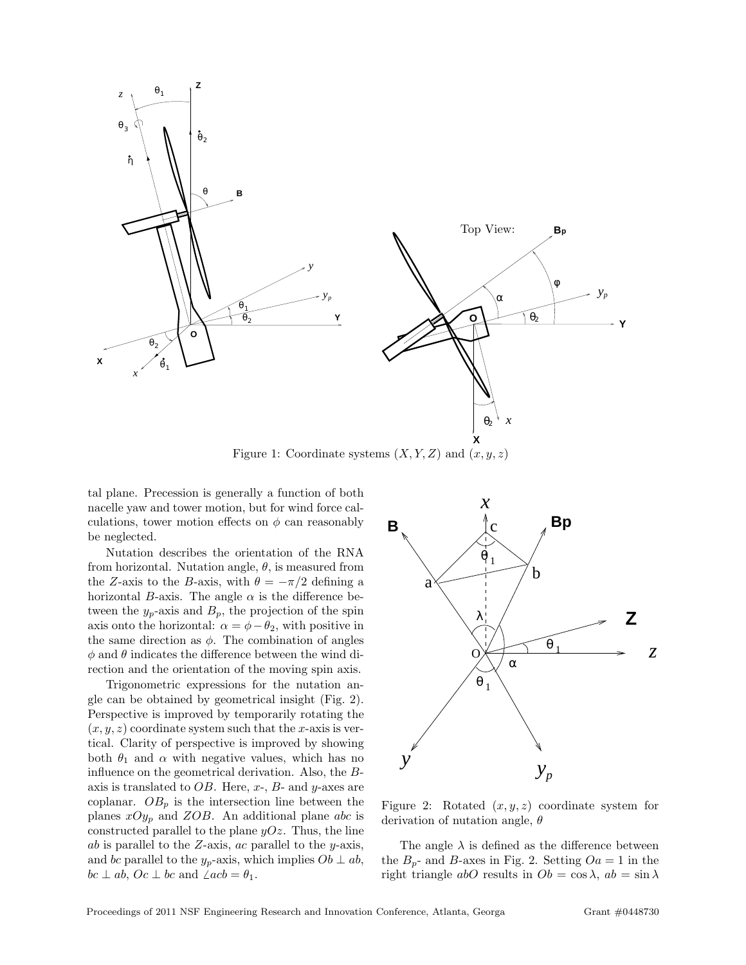

Figure 1: Coordinate systems  $(X, Y, Z)$  and  $(x, y, z)$ 

tal plane. Precession is generally a function of both nacelle yaw and tower motion, but for wind force calculations, tower motion effects on  $\phi$  can reasonably be neglected.

Nutation describes the orientation of the RNA from horizontal. Nutation angle,  $\theta$ , is measured from the Z-axis to the B-axis, with  $\theta = -\pi/2$  defining a horizontal B-axis. The angle  $\alpha$  is the difference between the  $y_p$ -axis and  $B_p$ , the projection of the spin axis onto the horizontal:  $\alpha = \phi - \theta_2$ , with positive in the same direction as  $\phi$ . The combination of angles  $\phi$  and  $\theta$  indicates the difference between the wind direction and the orientation of the moving spin axis.

Trigonometric expressions for the nutation angle can be obtained by geometrical insight (Fig. 2). Perspective is improved by temporarily rotating the  $(x, y, z)$  coordinate system such that the x-axis is vertical. Clarity of perspective is improved by showing both  $\theta_1$  and  $\alpha$  with negative values, which has no influence on the geometrical derivation. Also, the Baxis is translated to  $OB$ . Here, x-, B- and y-axes are coplanar.  $OB_p$  is the intersection line between the planes  $xOy_p$  and  $ZOB$ . An additional plane abc is constructed parallel to the plane  $yOz$ . Thus, the line ab is parallel to the  $Z$ -axis, ac parallel to the y-axis, and bc parallel to the  $y_p$ -axis, which implies  $Ob \perp ab$ ,  $bc \perp ab$ ,  $Oc \perp bc$  and  $\angle acb = \theta_1$ .



Figure 2: Rotated  $(x, y, z)$  coordinate system for derivation of nutation angle,  $\theta$ 

The angle  $\lambda$  is defined as the difference between the  $B_p$ - and B-axes in Fig. 2. Setting  $Oa = 1$  in the right triangle abO results in  $Ob = \cos \lambda$ ,  $ab = \sin \lambda$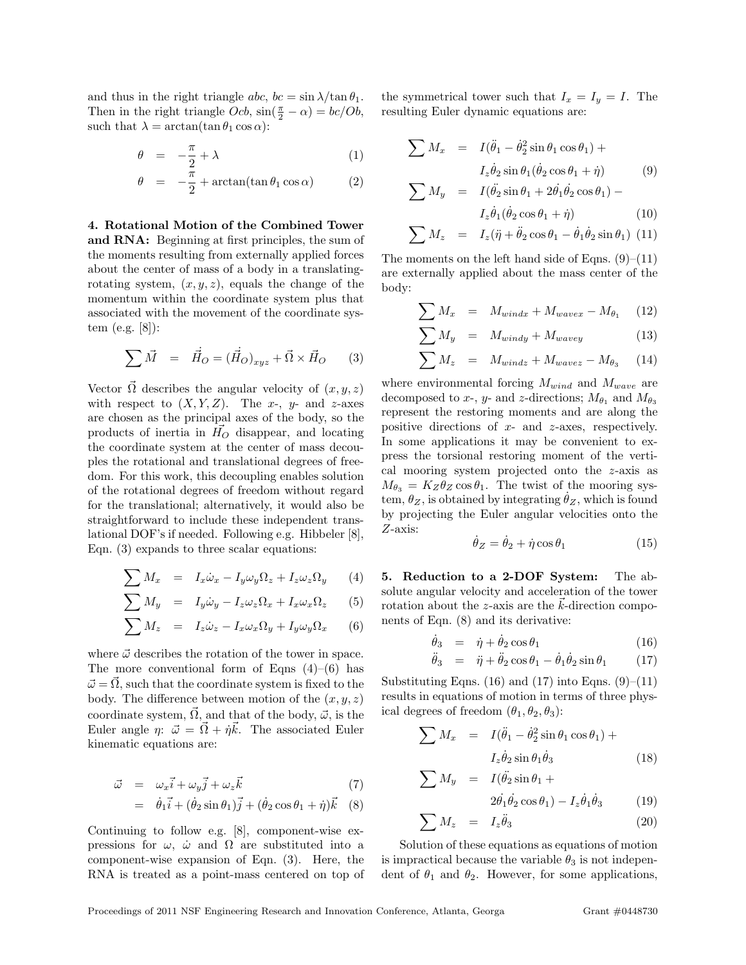and thus in the right triangle abc,  $bc = \sin \lambda / \tan \theta_1$ . Then in the right triangle  $Ocb$ ,  $\sin(\frac{\pi}{2} - \alpha) = bc/Ob$ , such that  $\lambda = \arctan(\tan \theta_1 \cos \alpha)$ :

$$
\theta = -\frac{\pi}{2} + \lambda \tag{1}
$$

$$
\theta = -\frac{\pi}{2} + \arctan(\tan \theta_1 \cos \alpha) \tag{2}
$$

4. Rotational Motion of the Combined Tower and RNA: Beginning at first principles, the sum of the moments resulting from externally applied forces about the center of mass of a body in a translatingrotating system,  $(x, y, z)$ , equals the change of the momentum within the coordinate system plus that associated with the movement of the coordinate system (e.g. [8]):

$$
\sum \vec{M} = \vec{H}_O = (\vec{H}_O)_{xyz} + \vec{\Omega} \times \vec{H}_O \qquad (3)
$$

Vector  $\vec{\Omega}$  describes the angular velocity of  $(x, y, z)$ with respect to  $(X, Y, Z)$ . The x-, y- and z-axes are chosen as the principal axes of the body, so the products of inertia in  $H<sub>O</sub>$  disappear, and locating the coordinate system at the center of mass decouples the rotational and translational degrees of freedom. For this work, this decoupling enables solution of the rotational degrees of freedom without regard for the translational; alternatively, it would also be straightforward to include these independent translational DOF's if needed. Following e.g. Hibbeler [8], Eqn. (3) expands to three scalar equations:

$$
\sum M_x = I_x \dot{\omega}_x - I_y \omega_y \Omega_z + I_z \omega_z \Omega_y \qquad (4)
$$

$$
\sum M_y = I_y \dot{\omega}_y - I_z \omega_z \Omega_x + I_x \omega_x \Omega_z \qquad (5)
$$

$$
\sum M_z = I_z \dot{\omega}_z - I_x \omega_x \Omega_y + I_y \omega_y \Omega_x \qquad (6)
$$

where  $\vec{\omega}$  describes the rotation of the tower in space. The more conventional form of Eqns  $(4)$ – $(6)$  has  $\vec{\omega} = \vec{\Omega}$ , such that the coordinate system is fixed to the body. The difference between motion of the  $(x, y, z)$ coordinate system,  $\vec{\Omega}$ , and that of the body,  $\vec{\omega}$ , is the Euler angle  $\eta: \vec{\omega} = \vec{\Omega} + \dot{\eta} \vec{k}$ . The associated Euler kinematic equations are:

$$
\vec{\omega} = \omega_x \vec{i} + \omega_y \vec{j} + \omega_z \vec{k} \tag{7}
$$

= 
$$
\dot{\theta}_1 \vec{i} + (\dot{\theta}_2 \sin \theta_1) \vec{j} + (\dot{\theta}_2 \cos \theta_1 + \dot{\eta}) \vec{k}
$$
 (8)

Continuing to follow e.g. [8], component-wise expressions for  $\omega$ ,  $\dot{\omega}$  and  $\Omega$  are substituted into a component-wise expansion of Eqn. (3). Here, the RNA is treated as a point-mass centered on top of the symmetrical tower such that  $I_x = I_y = I$ . The resulting Euler dynamic equations are:

$$
\sum M_x = I(\ddot{\theta}_1 - \dot{\theta}_2^2 \sin \theta_1 \cos \theta_1) +
$$
  

$$
I_z \dot{\theta}_2 \sin \theta_1 (\dot{\theta}_2 \cos \theta_1 + \dot{\eta})
$$
(9)

$$
\sum M_y = I(\ddot{\theta_2} \sin \theta_1 + 2\dot{\theta_1} \dot{\theta_2} \cos \theta_1) -
$$
  

$$
I_z \dot{\theta}_1 (\dot{\theta}_2 \cos \theta_1 + \dot{\eta})
$$
 (10)

$$
\sum M_z = I_z(\ddot{\eta} + \ddot{\theta}_2 \cos \theta_1 - \dot{\theta}_1 \dot{\theta}_2 \sin \theta_1) \tag{11}
$$

The moments on the left hand side of Eqns.  $(9)$ – $(11)$ are externally applied about the mass center of the body:

$$
\sum M_x = M_{windx} + M_{wavex} - M_{\theta_1} \quad (12)
$$

$$
\sum M_y = M_{windy} + M_{wavey} \tag{13}
$$

$$
\sum M_z = M_{windz} + M_{wavez} - M_{\theta_3} \qquad (14)
$$

where environmental forcing  $M_{wind}$  and  $M_{wave}$  are decomposed to x-, y- and z-directions;  $M_{\theta_1}$  and  $M_{\theta_3}$ represent the restoring moments and are along the positive directions of  $x$ - and  $z$ -axes, respectively. In some applications it may be convenient to express the torsional restoring moment of the vertical mooring system projected onto the z-axis as  $M_{\theta_3} = K_Z \theta_Z \cos \theta_1$ . The twist of the mooring system,  $\theta_Z$ , is obtained by integrating  $\theta_Z$ , which is found by projecting the Euler angular velocities onto the Z-axis:

$$
\dot{\theta}_Z = \dot{\theta}_2 + \dot{\eta}\cos\theta_1\tag{15}
$$

5. Reduction to a 2-DOF System: The absolute angular velocity and acceleration of the tower rotation about the  $z$ -axis are the  $k$ -direction components of Eqn. (8) and its derivative:

$$
\dot{\theta}_3 = \dot{\eta} + \dot{\theta}_2 \cos \theta_1 \tag{16}
$$

$$
\ddot{\theta}_3 = \ddot{\eta} + \ddot{\theta}_2 \cos \theta_1 - \dot{\theta}_1 \dot{\theta}_2 \sin \theta_1 \qquad (17)
$$

Substituting Eqns. (16) and (17) into Eqns.  $(9)$ –(11) results in equations of motion in terms of three physical degrees of freedom  $(\theta_1, \theta_2, \theta_3)$ :

$$
\sum M_x = I(\ddot{\theta}_1 - \dot{\theta}_2^2 \sin \theta_1 \cos \theta_1) + I_z \dot{\theta}_2 \sin \theta_1 \dot{\theta}_3
$$
 (18)

$$
\sum M_y = I(\ddot{\theta_2} \sin \theta_1 +
$$

$$
2\dot{\theta_1}\dot{\theta_2}\cos\theta_1) - I_z\dot{\theta_1}\dot{\theta_3} \tag{19}
$$

$$
\sum M_z = I_z \ddot{\theta}_3 \tag{20}
$$

Solution of these equations as equations of motion is impractical because the variable  $\theta_3$  is not independent of  $\theta_1$  and  $\theta_2$ . However, for some applications,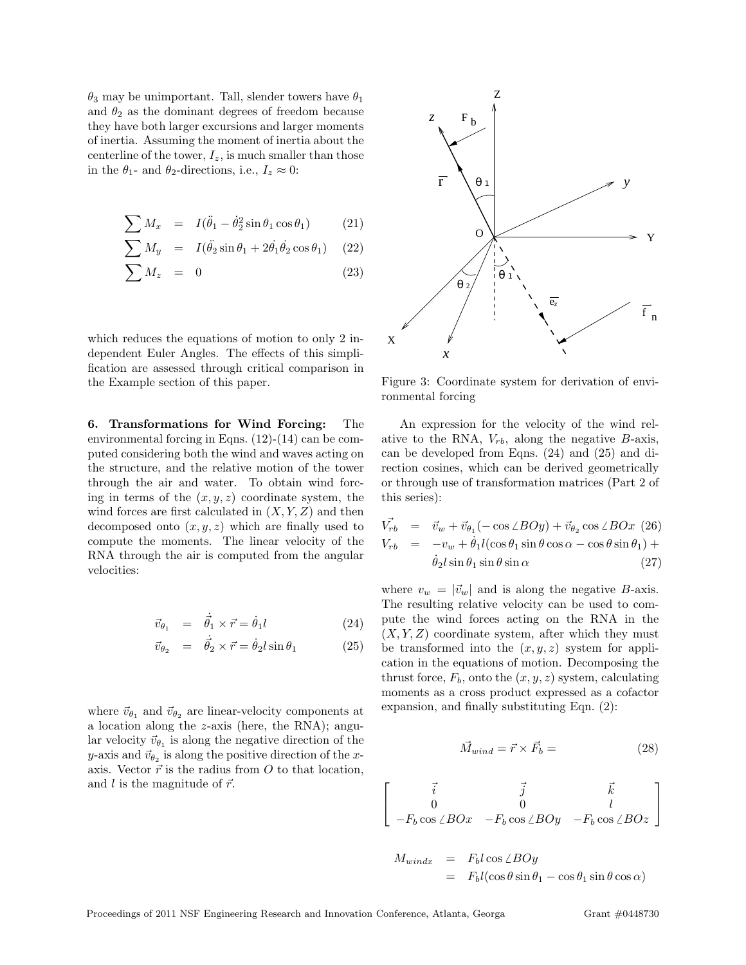$\theta_3$  may be unimportant. Tall, slender towers have  $\theta_1$ and  $\theta_2$  as the dominant degrees of freedom because they have both larger excursions and larger moments of inertia. Assuming the moment of inertia about the centerline of the tower,  $I_z$ , is much smaller than those in the  $\theta_1$ - and  $\theta_2$ -directions, i.e.,  $I_z \approx 0$ :

$$
\sum M_x = I(\ddot{\theta}_1 - \dot{\theta}_2^2 \sin \theta_1 \cos \theta_1) \qquad (21)
$$

$$
\sum M_y = I(\ddot{\theta_2} \sin \theta_1 + 2\dot{\theta_1} \dot{\theta_2} \cos \theta_1) \quad (22)
$$

$$
\sum M_z = 0 \tag{23}
$$

which reduces the equations of motion to only 2 independent Euler Angles. The effects of this simplification are assessed through critical comparison in the Example section of this paper.

6. Transformations for Wind Forcing: The environmental forcing in Eqns. (12)-(14) can be computed considering both the wind and waves acting on the structure, and the relative motion of the tower through the air and water. To obtain wind forcing in terms of the  $(x, y, z)$  coordinate system, the wind forces are first calculated in  $(X, Y, Z)$  and then decomposed onto  $(x, y, z)$  which are finally used to compute the moments. The linear velocity of the RNA through the air is computed from the angular velocities:

$$
\vec{v}_{\theta_1} = \dot{\vec{\theta}_1} \times \vec{r} = \dot{\theta}_1 l \tag{24}
$$

$$
\vec{v}_{\theta_2} = \dot{\vec{\theta}_2} \times \vec{r} = \dot{\theta}_2 l \sin \theta_1 \tag{25}
$$

where  $\vec{v}_{\theta_1}$  and  $\vec{v}_{\theta_2}$  are linear-velocity components at a location along the z-axis (here, the RNA); angular velocity  $\vec{v}_{\theta_1}$  is along the negative direction of the y-axis and  $\vec{v}_{\theta_2}$  is along the positive direction of the xaxis. Vector  $\vec{r}$  is the radius from O to that location, and l is the magnitude of  $\vec{r}$ .



Figure 3: Coordinate system for derivation of environmental forcing

An expression for the velocity of the wind relative to the RNA,  $V_{rb}$ , along the negative  $B$ -axis, can be developed from Eqns. (24) and (25) and direction cosines, which can be derived geometrically or through use of transformation matrices (Part 2 of this series):

$$
V_{rb} = \vec{v}_w + \vec{v}_{\theta_1}(-\cos\angle BOy) + \vec{v}_{\theta_2}\cos\angle BOx \ (26)
$$
  
\n
$$
V_{rb} = -v_w + \dot{\theta}_1 l(\cos\theta_1\sin\theta\cos\alpha - \cos\theta\sin\theta_1) + \dot{\theta}_2 l\sin\theta_1\sin\theta\sin\alpha \ (27)
$$

where  $v_w = |\vec{v}_w|$  and is along the negative B-axis. The resulting relative velocity can be used to compute the wind forces acting on the RNA in the  $(X, Y, Z)$  coordinate system, after which they must be transformed into the  $(x, y, z)$  system for application in the equations of motion. Decomposing the thrust force,  $F_b$ , onto the  $(x, y, z)$  system, calculating moments as a cross product expressed as a cofactor expansion, and finally substituting Eqn. (2):

$$
\vec{M}_{wind} = \vec{r} \times \vec{F}_b = \tag{28}
$$

$$
\left[\begin{array}{ccc} \vec{i} & \vec{j} & \vec{k} \\ 0 & 0 & l \\ -F_b \cos \angle BOx & -F_b \cos \angle BOy & -F_b \cos \angle BOz \end{array}\right]
$$

$$
M_{windx} = F_b l \cos \angle BOy
$$
  
=  $F_b l (\cos \theta \sin \theta_1 - \cos \theta_1 \sin \theta \cos \alpha)$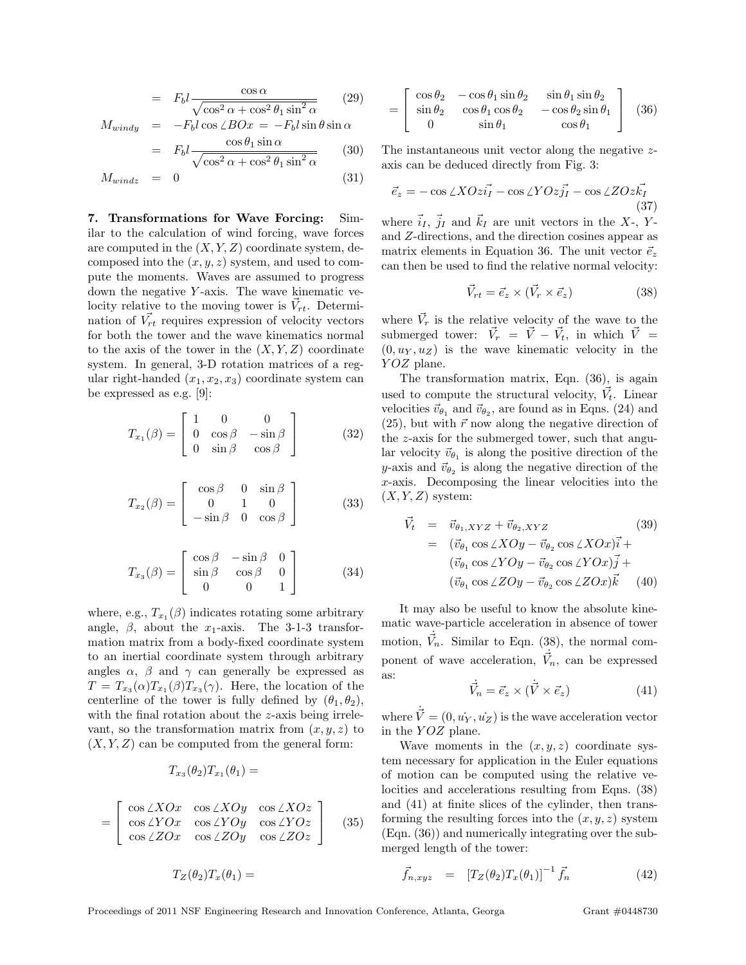$$
= F_b l \frac{\cos \alpha}{\sqrt{\cos^2 \alpha + \cos^2 \theta_1 \sin^2 \alpha}} \qquad (29)
$$

$$
M_{windy} = -F_b l \cos \angle BOx = -F_b l \sin \theta \sin \alpha
$$

$$
\cos \theta_1 \sin \alpha
$$

$$
= F_b l \frac{\cos \theta_1 \sin \alpha}{\sqrt{\cos^2 \alpha + \cos^2 \theta_1 \sin^2 \alpha}} \qquad (30)
$$

$$
M_{windz} = 0 \tag{31}
$$

7. Transformations for Wave Forcing: Similar to the calculation of wind forcing, wave forces are computed in the  $(X, Y, Z)$  coordinate system, decomposed into the  $(x, y, z)$  system, and used to compute the moments. Waves are assumed to progress down the negative Y-axis. The wave kinematic velocity relative to the moving tower is  $\vec{V}_{rt}$ . Determination of  $\vec{V_{rt}}$  requires expression of velocity vectors for both the tower and the wave kinematics normal to the axis of the tower in the  $(X, Y, Z)$  coordinate system. In general, 3-D rotation matrices of a regular right-handed  $(x_1, x_2, x_3)$  coordinate system can be expressed as e.g. [9]:

$$
T_{x_1}(\beta) = \begin{bmatrix} 1 & 0 & 0 \\ 0 & \cos \beta & -\sin \beta \\ 0 & \sin \beta & \cos \beta \end{bmatrix}
$$
 (32)

$$
T_{x_2}(\beta) = \begin{bmatrix} \cos \beta & 0 & \sin \beta \\ 0 & 1 & 0 \\ -\sin \beta & 0 & \cos \beta \end{bmatrix}
$$
 (33)

$$
T_{x_3}(\beta) = \begin{bmatrix} \cos \beta & -\sin \beta & 0 \\ \sin \beta & \cos \beta & 0 \\ 0 & 0 & 1 \end{bmatrix}
$$
 (34)

where, e.g.,  $T_{x_1}(\beta)$  indicates rotating some arbitrary angle,  $\beta$ , about the  $x_1$ -axis. The 3-1-3 transformation matrix from a body-fixed coordinate system to an inertial coordinate system through arbitrary angles  $\alpha$ ,  $\beta$  and  $\gamma$  can generally be expressed as  $T = T_{x_3}(\alpha) T_{x_1}(\beta) T_{x_3}(\gamma)$ . Here, the location of the centerline of the tower is fully defined by  $(\theta_1, \theta_2)$ , with the final rotation about the z-axis being irrelevant, so the transformation matrix from  $(x, y, z)$  to  $(X, Y, Z)$  can be computed from the general form:

$$
T_{x_3}(\theta_2)T_{x_1}(\theta_1)=
$$

$$
= \begin{bmatrix} \cos \angle XOx & \cos \angle XOy & \cos \angle XOz \\ \cos \angle YOx & \cos \angle YOy & \cos \angle YOz \\ \cos \angle ZOx & \cos \angle ZOy & \cos \angle ZOz \end{bmatrix}
$$
 (35)

$$
T_Z(\theta_2)T_x(\theta_1) =
$$

$$
= \begin{bmatrix} \cos \theta_2 & -\cos \theta_1 \sin \theta_2 & \sin \theta_1 \sin \theta_2 \\ \sin \theta_2 & \cos \theta_1 \cos \theta_2 & -\cos \theta_2 \sin \theta_1 \\ 0 & \sin \theta_1 & \cos \theta_1 \end{bmatrix} (36)
$$

The instantaneous unit vector along the negative zaxis can be deduced directly from Fig. 3:

$$
\vec{e}_z = -\cos\angle XOz\vec{i_I} - \cos\angle VOz\vec{j_I} - \cos\angle ZOz\vec{k_I}
$$
\n(37)

where  $\vec{i}_I, \vec{j}_I$  and  $\vec{k}_I$  are unit vectors in the X-, Yand Z-directions, and the direction cosines appear as matrix elements in Equation 36. The unit vector  $\vec{e}_z$ can then be used to find the relative normal velocity:

$$
\vec{V}_{rt} = \vec{e}_z \times (\vec{V}_r \times \vec{e}_z) \tag{38}
$$

where  $\vec{V}_r$  is the relative velocity of the wave to the submerged tower:  $\vec{V}_r = \vec{V} - \vec{V}_t$ , in which  $\vec{V} =$  $(0, u<sub>Y</sub>, u<sub>Z</sub>)$  is the wave kinematic velocity in the YOZ plane.

The transformation matrix, Eqn. (36), is again used to compute the structural velocity,  $\vec{V}_t$ . Linear velocities  $\vec{v}_{\theta_1}$  and  $\vec{v}_{\theta_2}$ , are found as in Eqns. (24) and  $(25)$ , but with  $\vec{r}$  now along the negative direction of the z-axis for the submerged tower, such that angular velocity  $\vec{v}_{\theta_1}$  is along the positive direction of the y-axis and  $\vec{v}_{\theta_2}$  is along the negative direction of the  $x$ -axis. Decomposing the linear velocities into the  $(X, Y, Z)$  system:

$$
\vec{V}_t = \vec{v}_{\theta_1, XYZ} + \vec{v}_{\theta_2, XYZ} \qquad (39)
$$
\n
$$
= (\vec{v}_{\theta_1} \cos \angle XOy - \vec{v}_{\theta_2} \cos \angle XOx) \vec{i} + (\vec{v}_{\theta_1} \cos \angle YOy - \vec{v}_{\theta_2} \cos \angle YOx) \vec{j} + (\vec{v}_{\theta_1} \cos \angle ZOy - \vec{v}_{\theta_2} \cos \angle ZOx) \vec{k} \qquad (40)
$$

It may also be useful to know the absolute kinematic wave-particle acceleration in absence of tower motion,  $\dot{V}_n$ . Similar to Eqn. (38), the normal component of wave acceleration,  $\vec{V}_n$ , can be expressed as:

$$
\dot{\vec{V}}_n = \vec{e}_z \times (\dot{\vec{V}} \times \vec{e}_z)
$$
\n(41)

where  $\dot{\vec{V}} = (0, \dot{u_Y}, \dot{u_Z})$  is the wave acceleration vector in the YOZ plane.

Wave moments in the  $(x, y, z)$  coordinate system necessary for application in the Euler equations of motion can be computed using the relative velocities and accelerations resulting from Eqns. (38) and (41) at finite slices of the cylinder, then transforming the resulting forces into the  $(x, y, z)$  system (Eqn. (36)) and numerically integrating over the submerged length of the tower:

$$
\vec{f}_{n,xyz} = [T_Z(\theta_2)T_x(\theta_1)]^{-1} \vec{f}_n \tag{42}
$$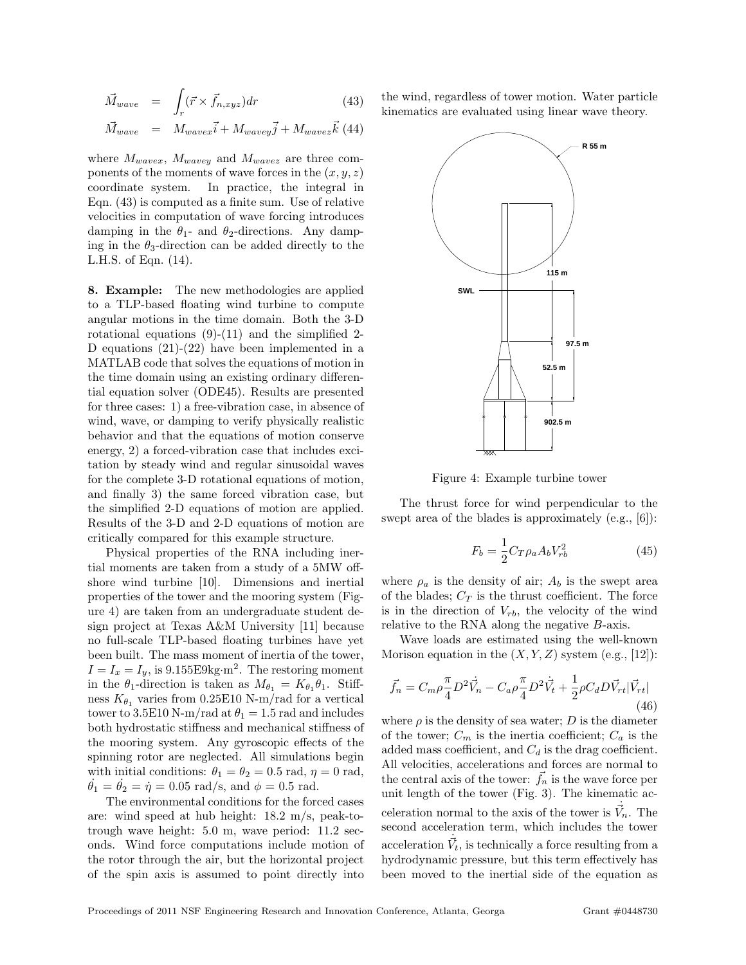$$
\vec{M}_{wave} = \int_{r} (\vec{r} \times \vec{f}_{n,xyz}) dr \qquad (43)
$$

$$
\vec{M}_{wave} = M_{wavex}\vec{i} + M_{wavey}\vec{j} + M_{wavez}\vec{k}
$$
 (44)

where  $M_{wave}$ ,  $M_{wave}$  and  $M_{wave}$  are three components of the moments of wave forces in the  $(x, y, z)$ coordinate system. In practice, the integral in Eqn. (43) is computed as a finite sum. Use of relative velocities in computation of wave forcing introduces damping in the  $\theta_1$ - and  $\theta_2$ -directions. Any damping in the  $\theta_3$ -direction can be added directly to the L.H.S. of Eqn. (14).

8. Example: The new methodologies are applied to a TLP-based floating wind turbine to compute angular motions in the time domain. Both the 3-D rotational equations  $(9)-(11)$  and the simplified 2-D equations (21)-(22) have been implemented in a MATLAB code that solves the equations of motion in the time domain using an existing ordinary differential equation solver (ODE45). Results are presented for three cases: 1) a free-vibration case, in absence of wind, wave, or damping to verify physically realistic behavior and that the equations of motion conserve energy, 2) a forced-vibration case that includes excitation by steady wind and regular sinusoidal waves for the complete 3-D rotational equations of motion, and finally 3) the same forced vibration case, but the simplified 2-D equations of motion are applied. Results of the 3-D and 2-D equations of motion are critically compared for this example structure.

Physical properties of the RNA including inertial moments are taken from a study of a 5MW offshore wind turbine [10]. Dimensions and inertial properties of the tower and the mooring system (Figure 4) are taken from an undergraduate student design project at Texas A&M University [11] because no full-scale TLP-based floating turbines have yet been built. The mass moment of inertia of the tower,  $I = I_x = I_y$ , is 9.155E9kg·m<sup>2</sup>. The restoring moment in the  $\theta_1$ -direction is taken as  $M_{\theta_1} = K_{\theta_1} \theta_1$ . Stiffness  $K_{\theta_1}$  varies from 0.25E10 N-m/rad for a vertical tower to 3.5E10 N-m/rad at  $\theta_1 = 1.5$  rad and includes both hydrostatic stiffness and mechanical stiffness of the mooring system. Any gyroscopic effects of the spinning rotor are neglected. All simulations begin with initial conditions:  $\theta_1 = \theta_2 = 0.5$  rad,  $\eta = 0$  rad,  $\dot{\theta}_1 = \dot{\theta}_2 = \dot{\eta} = 0.05 \text{ rad/s, and } \phi = 0.5 \text{ rad.}$ 

The environmental conditions for the forced cases are: wind speed at hub height: 18.2 m/s, peak-totrough wave height: 5.0 m, wave period: 11.2 seconds. Wind force computations include motion of the rotor through the air, but the horizontal project of the spin axis is assumed to point directly into

the wind, regardless of tower motion. Water particle kinematics are evaluated using linear wave theory.



Figure 4: Example turbine tower

The thrust force for wind perpendicular to the swept area of the blades is approximately (e.g., [6]):

$$
F_b = \frac{1}{2} C_T \rho_a A_b V_{rb}^2 \tag{45}
$$

where  $\rho_a$  is the density of air;  $A_b$  is the swept area of the blades;  $C_T$  is the thrust coefficient. The force is in the direction of  $V_{rb}$ , the velocity of the wind relative to the RNA along the negative B-axis.

Wave loads are estimated using the well-known Morison equation in the  $(X, Y, Z)$  system (e.g., [12]):

$$
\vec{f}_n = C_m \rho \frac{\pi}{4} D^2 \dot{\vec{V}}_n - C_a \rho \frac{\pi}{4} D^2 \dot{\vec{V}}_t + \frac{1}{2} \rho C_d D \vec{V}_{rt} |\vec{V}_{rt}|
$$
\n(46)

where  $\rho$  is the density of sea water; D is the diameter of the tower;  $C_m$  is the inertia coefficient;  $C_a$  is the added mass coefficient, and  $C_d$  is the drag coefficient. All velocities, accelerations and forces are normal to the central axis of the tower:  $\vec{f}_n$  is the wave force per unit length of the tower (Fig. 3). The kinematic acceleration normal to the axis of the tower is  $\dot{\vec{V}}_n$ . The second acceleration term, which includes the tower acceleration  $\dot{\vec{V}}_t$ , is technically a force resulting from a hydrodynamic pressure, but this term effectively has been moved to the inertial side of the equation as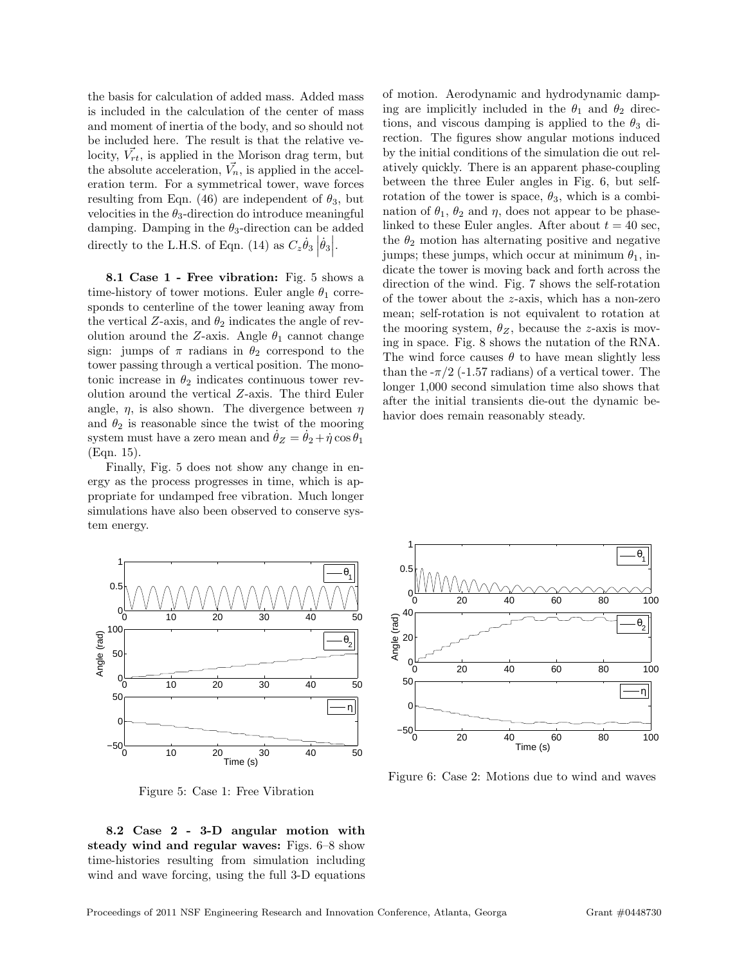the basis for calculation of added mass. Added mass is included in the calculation of the center of mass and moment of inertia of the body, and so should not be included here. The result is that the relative velocity,  $\vec{V_{rt}}$ , is applied in the Morison drag term, but the absolute acceleration,  $\vec{V}_n$ , is applied in the acceleration term. For a symmetrical tower, wave forces resulting from Eqn. (46) are independent of  $\theta_3$ , but velocities in the  $\theta_3$ -direction do introduce meaningful damping. Damping in the  $\theta_3$ -direction can be added directly to the L.H.S. of Eqn. (14) as  $C_z \dot{\theta}_3 |\dot{\theta}_3|$ .

8.1 Case 1 - Free vibration: Fig. 5 shows a time-history of tower motions. Euler angle  $\theta_1$  corresponds to centerline of the tower leaning away from the vertical Z-axis, and  $\theta_2$  indicates the angle of revolution around the Z-axis. Angle  $\theta_1$  cannot change sign: jumps of  $\pi$  radians in  $\theta_2$  correspond to the tower passing through a vertical position. The monotonic increase in  $\theta_2$  indicates continuous tower revolution around the vertical Z-axis. The third Euler angle,  $\eta$ , is also shown. The divergence between  $\eta$ and  $\theta_2$  is reasonable since the twist of the mooring system must have a zero mean and  $\theta_Z = \theta_2 + \dot{\eta} \cos \theta_1$ (Eqn. 15).

Finally, Fig. 5 does not show any change in energy as the process progresses in time, which is appropriate for undamped free vibration. Much longer simulations have also been observed to conserve system energy.

0 10 20 30 40 50  $0 \Omega$ .  $1<sub>^-</sub>$  $\theta_{1}$ 1 | | 0 10 20 30 40 50  $^{0}$ 50  $100 -$ Angle (rad)  $\theta_{\alpha}$  $2\vert\vert$ 0 10 20 30 40 50 Time (s)  $-50^{\text{L}}_{0}$  $\Omega$ 50 η∥

Figure 5: Case 1: Free Vibration

8.2 Case 2 - 3-D angular motion with steady wind and regular waves: Figs. 6–8 show time-histories resulting from simulation including wind and wave forcing, using the full 3-D equations of motion. Aerodynamic and hydrodynamic damping are implicitly included in the  $\theta_1$  and  $\theta_2$  directions, and viscous damping is applied to the  $\theta_3$  direction. The figures show angular motions induced by the initial conditions of the simulation die out relatively quickly. There is an apparent phase-coupling between the three Euler angles in Fig. 6, but selfrotation of the tower is space,  $\theta_3$ , which is a combination of  $\theta_1$ ,  $\theta_2$  and  $\eta$ , does not appear to be phaselinked to these Euler angles. After about  $t = 40$  sec, the  $\theta_2$  motion has alternating positive and negative jumps; these jumps, which occur at minimum  $\theta_1$ , indicate the tower is moving back and forth across the direction of the wind. Fig. 7 shows the self-rotation of the tower about the z-axis, which has a non-zero mean; self-rotation is not equivalent to rotation at the mooring system,  $\theta_Z$ , because the z-axis is moving in space. Fig. 8 shows the nutation of the RNA. The wind force causes  $\theta$  to have mean slightly less than the  $-\pi/2$  (-1.57 radians) of a vertical tower. The longer 1,000 second simulation time also shows that after the initial transients die-out the dynamic behavior does remain reasonably steady.



Figure 6: Case 2: Motions due to wind and waves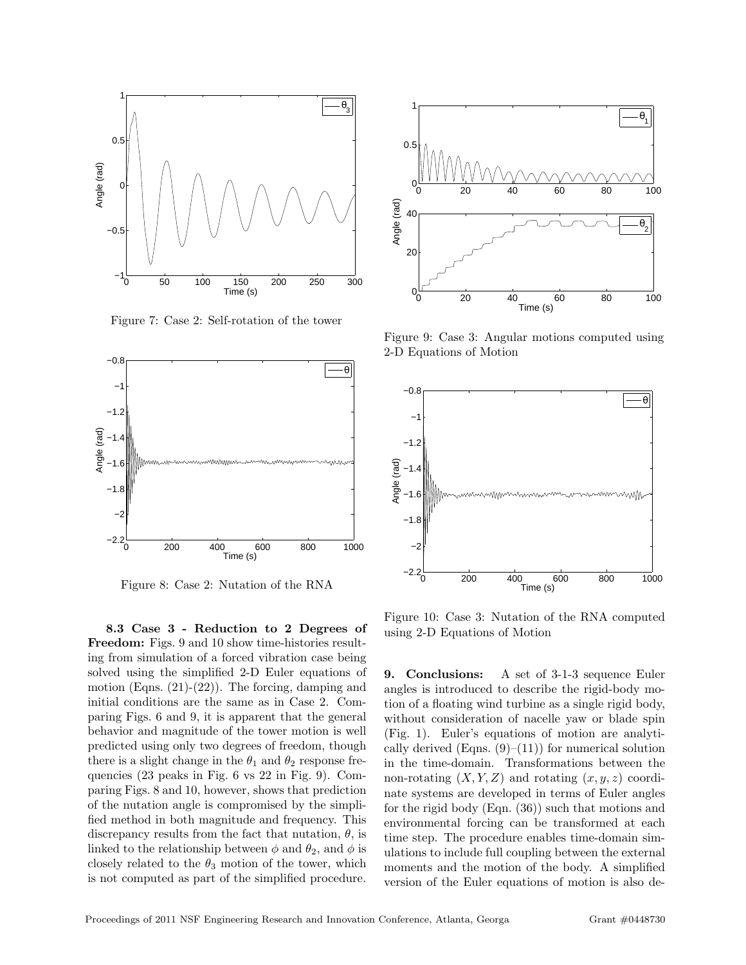

Figure 7: Case 2: Self-rotation of the tower



Figure 8: Case 2: Nutation of the RNA

8.3 Case 3 - Reduction to 2 Degrees of Freedom: Figs. 9 and 10 show time-histories resulting from simulation of a forced vibration case being solved using the simplified 2-D Euler equations of motion (Eqns.  $(21)-(22)$ ). The forcing, damping and initial conditions are the same as in Case 2. Comparing Figs. 6 and 9, it is apparent that the general behavior and magnitude of the tower motion is well predicted using only two degrees of freedom, though there is a slight change in the  $\theta_1$  and  $\theta_2$  response frequencies (23 peaks in Fig. 6 vs 22 in Fig. 9). Comparing Figs. 8 and 10, however, shows that prediction of the nutation angle is compromised by the simplified method in both magnitude and frequency. This discrepancy results from the fact that nutation,  $\theta$ , is linked to the relationship between  $\phi$  and  $\theta_2$ , and  $\phi$  is closely related to the  $\theta_3$  motion of the tower, which is not computed as part of the simplified procedure.



Figure 9: Case 3: Angular motions computed using 2-D Equations of Motion



Figure 10: Case 3: Nutation of the RNA computed using 2-D Equations of Motion

9. Conclusions: A set of 3-1-3 sequence Euler angles is introduced to describe the rigid-body motion of a floating wind turbine as a single rigid body, without consideration of nacelle yaw or blade spin (Fig. 1). Euler's equations of motion are analytically derived (Eqns.  $(9)$ – $(11)$ ) for numerical solution in the time-domain. Transformations between the non-rotating  $(X, Y, Z)$  and rotating  $(x, y, z)$  coordinate systems are developed in terms of Euler angles for the rigid body (Eqn. (36)) such that motions and environmental forcing can be transformed at each time step. The procedure enables time-domain simulations to include full coupling between the external moments and the motion of the body. A simplified version of the Euler equations of motion is also de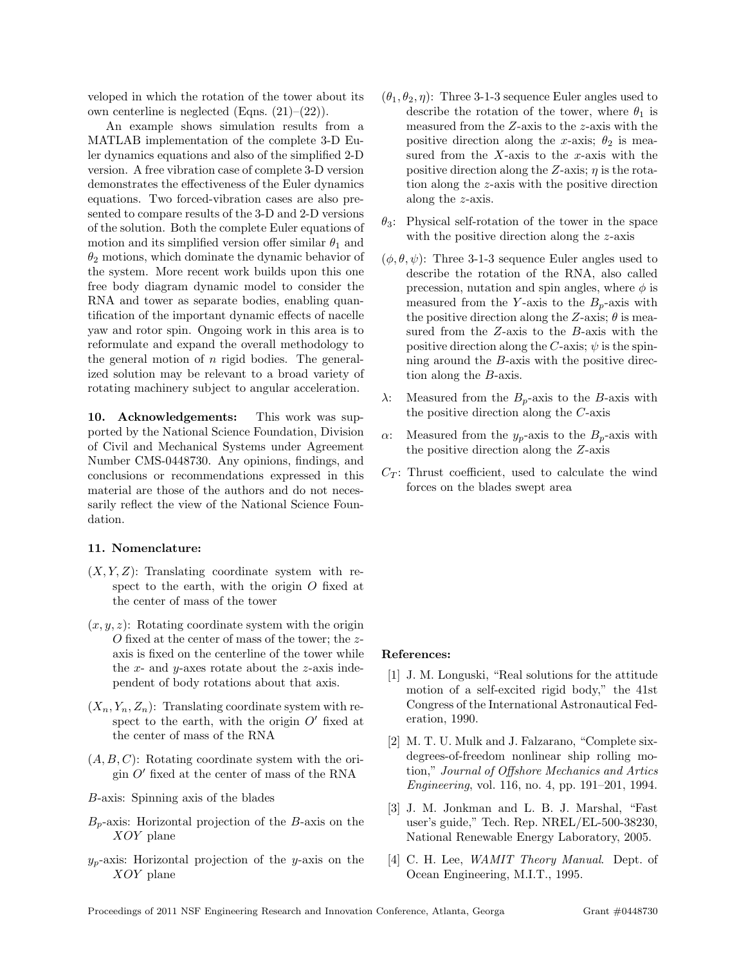veloped in which the rotation of the tower about its own centerline is neglected (Eqns.  $(21)–(22)$ ).

An example shows simulation results from a MATLAB implementation of the complete 3-D Euler dynamics equations and also of the simplified 2-D version. A free vibration case of complete 3-D version demonstrates the effectiveness of the Euler dynamics equations. Two forced-vibration cases are also presented to compare results of the 3-D and 2-D versions of the solution. Both the complete Euler equations of motion and its simplified version offer similar  $\theta_1$  and  $\theta_2$  motions, which dominate the dynamic behavior of the system. More recent work builds upon this one free body diagram dynamic model to consider the RNA and tower as separate bodies, enabling quantification of the important dynamic effects of nacelle yaw and rotor spin. Ongoing work in this area is to reformulate and expand the overall methodology to the general motion of  $n$  rigid bodies. The generalized solution may be relevant to a broad variety of rotating machinery subject to angular acceleration.

10. Acknowledgements: This work was supported by the National Science Foundation, Division of Civil and Mechanical Systems under Agreement Number CMS-0448730. Any opinions, findings, and conclusions or recommendations expressed in this material are those of the authors and do not necessarily reflect the view of the National Science Foundation.

## 11. Nomenclature:

- $(X, Y, Z)$ : Translating coordinate system with respect to the earth, with the origin  $O$  fixed at the center of mass of the tower
- $(x, y, z)$ : Rotating coordinate system with the origin O fixed at the center of mass of the tower; the zaxis is fixed on the centerline of the tower while the  $x$ - and  $y$ -axes rotate about the  $z$ -axis independent of body rotations about that axis.
- $(X_n, Y_n, Z_n)$ : Translating coordinate system with respect to the earth, with the origin  $O'$  fixed at the center of mass of the RNA
- $(A, B, C)$ : Rotating coordinate system with the origin $O^{\prime}$  fixed at the center of mass of the RNA
- B-axis: Spinning axis of the blades
- $B<sub>p</sub>$ -axis: Horizontal projection of the B-axis on the XOY plane
- $y_p$ -axis: Horizontal projection of the y-axis on the XOY plane
- $(\theta_1, \theta_2, \eta)$ : Three 3-1-3 sequence Euler angles used to describe the rotation of the tower, where  $\theta_1$  is measured from the Z-axis to the z-axis with the positive direction along the x-axis;  $\theta_2$  is measured from the  $X$ -axis to the  $x$ -axis with the positive direction along the Z-axis;  $\eta$  is the rotation along the z-axis with the positive direction along the z-axis.
- $\theta_3$ : Physical self-rotation of the tower in the space with the positive direction along the z-axis
- $(\phi, \theta, \psi)$ : Three 3-1-3 sequence Euler angles used to describe the rotation of the RNA, also called precession, nutation and spin angles, where  $\phi$  is measured from the Y-axis to the  $B_p$ -axis with the positive direction along the Z-axis;  $\theta$  is measured from the Z-axis to the B-axis with the positive direction along the C-axis;  $\psi$  is the spinning around the B-axis with the positive direction along the B-axis.
- $\lambda$ : Measured from the  $B_p$ -axis to the B-axis with the positive direction along the C-axis
- α: Measured from the  $y_p$ -axis to the  $B_p$ -axis with the positive direction along the Z-axis
- $C_T$ : Thrust coefficient, used to calculate the wind forces on the blades swept area

## References:

- [1] J. M. Longuski, "Real solutions for the attitude motion of a self-excited rigid body," the 41st Congress of the International Astronautical Federation, 1990.
- [2] M. T. U. Mulk and J. Falzarano, "Complete sixdegrees-of-freedom nonlinear ship rolling motion," Journal of Offshore Mechanics and Artics Engineering, vol. 116, no. 4, pp. 191–201, 1994.
- [3] J. M. Jonkman and L. B. J. Marshal, "Fast user's guide," Tech. Rep. NREL/EL-500-38230, National Renewable Energy Laboratory, 2005.
- [4] C. H. Lee, WAMIT Theory Manual. Dept. of Ocean Engineering, M.I.T., 1995.